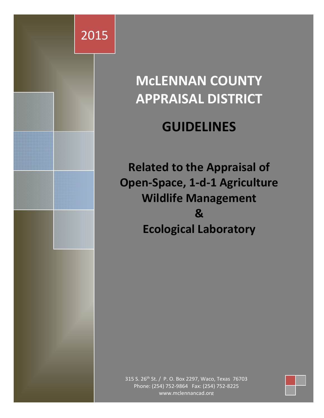

# **McLENNAN COUNTY APPRAISAL DISTRICT**

# **GUIDELINES**

**Related to the Appraisal of Open‐Space, 1‐d‐1 Agriculture Wildlife Management & Ecological Laboratory**

315 S. 26<sup>th</sup> St. / P. O. Box 2297, Waco, Texas 76703 Phone: (254) 752‐9864 Fax: (254) 752‐8225 www.mclennancad.org

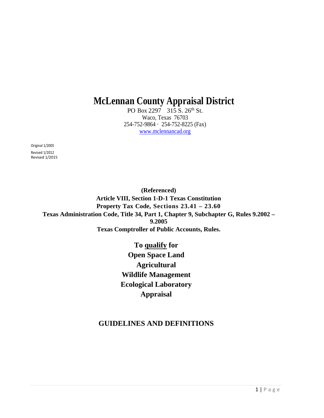# **McLennan County Appraisal District**

PO Box 2297 315 S. 26<sup>th</sup> St. Waco, Texas 76703 254-752-9864 · 254-752-8225 (Fax) www.mclennancad.org

Original 1/2005

Revised 1/2012 Revised 1/2015

> **(Referenced) Article VIII, Section 1-D-1 Texas Constitution Property Tax Code, Sections 23.41 – 23.60 Texas Administration Code, Title 34, Part 1, Chapter 9, Subchapter G, Rules 9.2002 – 9.2005 Texas Comptroller of Public Accounts, Rules.**

> > **To qualify for Open Space Land Agricultural Wildlife Management Ecological Laboratory Appraisal**

# **GUIDELINES AND DEFINITIONS**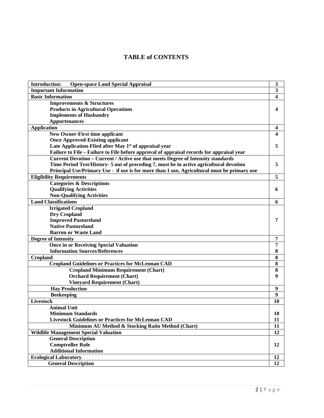# **TABLE of CONTENTS**

| <b>Open-space Land Special Appraisal</b><br><b>Introduction:</b>                            | 3  |
|---------------------------------------------------------------------------------------------|----|
| <b>Important Information</b>                                                                | 3  |
| <b>Basic Information</b>                                                                    | 4  |
| <b>Improvements &amp; Structures</b>                                                        |    |
| <b>Products in Agricultural Operations</b>                                                  | 4  |
| <b>Implements of Husbandry</b>                                                              |    |
| <b>Appurtenances</b>                                                                        |    |
| <b>Application</b>                                                                          | 4  |
| <b>New Owner-First time applicant</b>                                                       |    |
| <b>Once Approved-Existing applicant</b>                                                     |    |
| Late Application-Flied after May 1 <sup>st</sup> of appraisal year                          | 5  |
| Failure to File – Failure to File before approval of appraisal records for appraisal year   |    |
| Current Devotion - Current / Active use that meets Degree of Intensity standards            |    |
| Time Period Test/History- 5 out of preceding 7, must be in active agricultural devotion     | 5  |
| Principal Use/Primary Use - if use is for more than 1 use, Agricultural must be primary use |    |
| <b>Eligibility Requirements</b>                                                             | 5  |
| <b>Categories &amp; Descriptions</b>                                                        |    |
| <b>Qualifying Activities</b>                                                                | 6  |
| <b>Non-Qualifying Activities</b>                                                            |    |
| <b>Land Classifications</b>                                                                 | 6  |
| <b>Irrigated Cropland</b>                                                                   |    |
| <b>Dry Cropland</b>                                                                         |    |
| <b>Improved Pastureland</b>                                                                 | 7  |
| <b>Native Pastureland</b>                                                                   |    |
| <b>Barron or Waste Land</b>                                                                 |    |
| <b>Degree of Intensity</b>                                                                  | 7  |
| <b>Once in or Receiving Special Valuation</b>                                               | 7  |
| <b>Information Sources/References</b>                                                       | 8  |
| <b>Cropland</b>                                                                             | 8  |
| <b>Cropland Guidelines or Practices for McLennan CAD</b>                                    | 8  |
| <b>Cropland Minimum Requirement (Chart)</b>                                                 | 8  |
| <b>Orchard Requirement (Chart)</b>                                                          | 9  |
| <b>Vineyard Requirement (Chart)</b>                                                         |    |
| <b>Hay Production</b>                                                                       | 9  |
| <b>Beekeeping</b>                                                                           | 9  |
| Livestock                                                                                   | 10 |
| <b>Animal Unit</b>                                                                          |    |
| <b>Minimum Standards</b>                                                                    | 10 |
| <b>Livestock Guidelines or Practices for McLennan CAD</b>                                   | 11 |
| Minimum AU Method & Stocking Ratio Method (Chart)                                           | 11 |
| <b>Wildlife Management Special Valuation</b>                                                | 12 |
| <b>General Description</b>                                                                  |    |
| <b>Comptroller Rule</b>                                                                     | 12 |
| <b>Additional Information</b>                                                               |    |
| <b>Ecological Laboratory</b>                                                                | 12 |
| <b>General Description</b>                                                                  | 12 |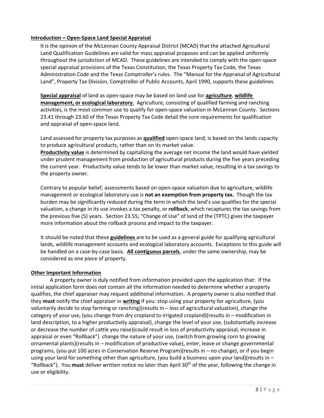# **Introduction – Open‐Space Land Special Appraisal**

It is the opinion of the McLennan County Appraisal District (MCAD) that the attached Agricultural Land Qualification Guidelines are valid for mass appraisal proposes and can be applied uniformly throughout the jurisdiction of MCAD. These guidelines are intended to comply with the open‐space special appraisal provisions of the Texas Constitution, the Texas Property Tax Code, the Texas Administration Code and the Texas Comptroller's rules. The "Manual for the Appraisal of Agricultural Land", Property Tax Division, Comptroller of Public Accounts, April 1990, supports these guidelines.

**Special appraisal** of land as open‐space may be based on land use for **agriculture**, **wildlife management, or ecological laboratory.** Agriculture, consisting of qualified farming and ranching activities, is the most common use to qualify for open‐space valuation in McLennan County. Sections 23.41 through 23.60 of the Texas Property Tax Code detail the core requirements for qualification and appraisal of open‐space land.

Land assessed for property tax purposes as **qualified** open‐space land, is based on the lands capacity to produce agricultural products, rather than on its market value.

**Productivity value** is determined by capitalizing the average net income the land would have yielded under prudent management from production of agricultural products during the five years preceding the current year. Productivity value tends to be lower than market value, resulting in a tax savings to the property owner.

Contrary to popular belief, assessments based on open‐space valuation due to agriculture, wildlife management or ecological laboratory use is **not an exemption from property tax.** Though the tax burden may be significantly reduced during the term in which the land's use qualifies for the special valuation, a change in its use invokes a tax penalty, or **rollback**, which recaptures the tax savings from the previous five (5) years. Section 23.55; "Change of Use" of land of the (TPTC) gives the taxpayer more information about the rollback process and impact to the taxpayer.

It should be noted that these **guidelines** are to be used as a general guide for qualifying agricultural lands, wildlife management accounts and ecological laboratory accounts. Exceptions to this guide will be handled on a case‐by‐case basis. **All contiguous parcels**, under the same ownership, may be considered as one piece of property.

## **Other Important Information**

A property owner is duly notified from information provided upon the application that: If the initial application form does not contain all the information needed to determine whether a property qualifies, the chief appraiser may request additional information. A property owner is also notified that they **must** notify the chief appraiser in **writing** if you: stop using your property for agriculture, (you voluntarily decide to stop farming or ranching)(results in – loss of agricultural valuation), change the category of your use, (you change from dry cropland to irrigated cropland)(results in – modification in land description, to a higher productivity appraisal), change the level of your use, (substantially increase or decrease the number of cattle you raise)(could result in loss of productivity appraisal, increase in appraisal or even "Rollback") change the nature of your use, (switch from growing corn to growing ornamental plants)(results in – modification of productive value), enter, leave or change governmental programs, (you put 100 acres in Conservation Reserve Program)(results in – no change), or if you begin using your land for something other than agriculture, (you build a business upon your land)(results in – "Rollback"). You **must** deliver written notice no later than April 30th of the year, following the change in use or eligibility.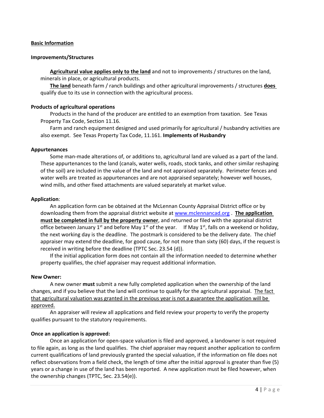#### **Basic Information**

#### **Improvements/Structures**

**Agricultural value applies only to the land** and not to improvements / structures on the land, minerals in place, or agricultural products.

**The land** beneath farm / ranch buildings and other agricultural improvements / structures **does** qualify due to its use in connection with the agricultural process.

#### **Products of agricultural operations**

Products in the hand of the producer are entitled to an exemption from taxation. See Texas Property Tax Code, Section 11.16.

Farm and ranch equipment designed and used primarily for agricultural / husbandry activities are also exempt. See Texas Property Tax Code, 11.161. **Implements of Husbandry**

#### **Appurtenances**

Some man‐made alterations of, or additions to, agricultural land are valued as a part of the land. These appurtenances to the land (canals, water wells, roads, stock tanks, and other similar reshaping of the soil) are included in the value of the land and not appraised separately. Perimeter fences and water wells are treated as appurtenances and are not appraised separately; however well houses, wind mills, and other fixed attachments are valued separately at market value.

#### **Application**:

An application form can be obtained at the McLennan County Appraisal District office or by downloading them from the appraisal district website at www.mclennancad.org . **The application must be completed in full by the property owner**, and returned or filed with the appraisal district office between January 1<sup>st</sup> and before May 1<sup>st</sup> of the year. If May 1<sup>st</sup>, falls on a weekend or holiday, the next working day is the deadline. The postmark is considered to be the delivery date. The chief appraiser may extend the deadline, for good cause, for not more than sixty (60) days, if the request is received in writing before the deadline (TPTC Sec. 23.54 (d)).

If the initial application form does not contain all the information needed to determine whether property qualifies, the chief appraiser may request additional information.

#### **New Owner:**

A new owner **must** submit a new fully completed application when the ownership of the land changes, and if you believe that the land will continue to qualify for the agricultural appraisal. The fact that agricultural valuation was granted in the previous year is not a guarantee the application will be approved.

An appraiser will review all applications and field review your property to verify the property qualifies pursuant to the statutory requirements.

#### **Once an application is approved:**

Once an application for open‐space valuation is filed and approved, a landowner is not required to file again, as long as the land qualifies. The chief appraiser may request another application to confirm current qualifications of land previously granted the special valuation, if the information on file does not reflect observations from a field check, the length of time after the initial approval is greater than five (5) years or a change in use of the land has been reported. A new application must be filed however, when the ownership changes (TPTC, Sec. 23.54(e)).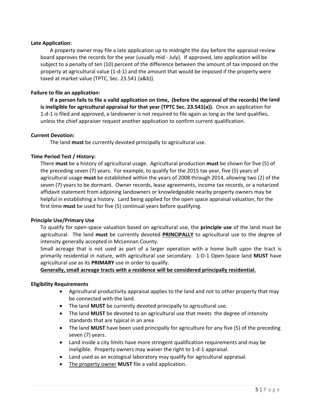## **Late Application:**

A property owner may file a late application up to midnight the day before the appraisal review board approves the records for the year (usually mid ‐ July). If approved, late application will be subject to a penalty of ten (10) percent of the difference between the amount of tax imposed on the property at agricultural value (1‐d‐1) and the amount that would be imposed if the property were taxed at market value (TPTC, Sec. 23.541 (a&b)).

# **Failure to file an application:**

If a person fails to file a valid application on time, (before the approval of the records) the land **is ineligible for agricultural appraisal for that year (TPTC Sec. 23.541(a)).** Once an application for 1‐d‐1 is filed and approved, a landowner is not required to file again as long as the land qualifies, unless the chief appraiser request another application to confirm current qualification.

## **Current Devotion:**

The land **must** be currently devoted principally to agricultural use.

# **Time Period Test / History:**

There **must** be a history of agricultural usage. Agricultural production **must** be shown for five (5) of the preceding seven (7) years. For example, to qualify for the 2015 tax year, five (5) years of agricultural usage **must** be established within the years of 2008 through 2014, allowing two (2) of the seven (7) years to be dormant. Owner records, lease agreements, income tax records, or a notarized affidavit statement from adjoining landowners or knowledgeable nearby property owners may be helpful in establishing a history. Land being applied for the open space appraisal valuation, for the first time **must** be used for five (5) continual years before qualifying.

## **Principle Use/Primary Use**

To qualify for open‐space valuation based on agricultural use, the **principle use** of the land must be agricultural. The land **must** be currently devoted **PRINCIPALLY** to agricultural use to the degree of intensity generally accepted in McLennan County.

Small acreage that is not used as part of a larger operation with a home built upon the tract is primarily residential in nature, with agricultural use secondary. 1‐D‐1 Open‐Space land **MUST** have agricultural use as its **PRIMARY** use in order to qualify.

## **Generally, small acreage tracts with a residence will be considered principally residential.**

#### **Eligibility Requirements**

- Agricultural productivity appraisal applies to the land and not to other property that may be connected with the land.
- The land **MUST** be currently devoted principally to agricultural use.
- The land **MUST** be devoted to an agricultural use that meets the degree of intensity standards that are typical in an area
- The land **MUST** have been used principally for agriculture for any five (5) of the preceding seven (7) years.
- Land inside a city limits have more stringent qualification requirements and may be ineligible. Property owners may waiver the right to 1‐d‐1 appraisal.
- Land used as an ecological laboratory may qualify for agricultural appraisal.
- The property owner **MUST** file a valid application.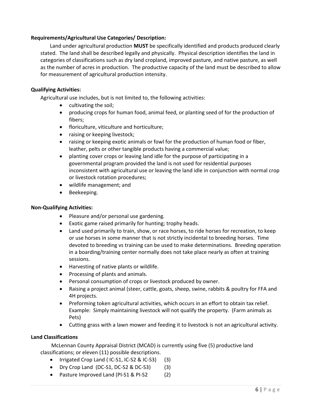# **Requirements/Agricultural Use Categories/ Description:**

Land under agricultural production **MUST** be specifically identified and products produced clearly stated. The land shall be described legally and physically. Physical description identifies the land in categories of classifications such as dry land cropland, improved pasture, and native pasture, as well as the number of acres in production. The productive capacity of the land must be described to allow for measurement of agricultural production intensity.

## **Qualifying Activities:**

Agricultural use includes, but is not limited to, the following activities:

- cultivating the soil;
- producing crops for human food, animal feed, or planting seed of for the production of fibers;
- floriculture, viticulture and horticulture;
- raising or keeping livestock;
- raising or keeping exotic animals or fowl for the production of human food or fiber, leather, pelts or other tangible products having a commercial value;
- planting cover crops or leaving land idle for the purpose of participating in a governmental program provided the land is not used for residential purposes inconsistent with agricultural use or leaving the land idle in conjunction with normal crop or livestock rotation procedures;
- wildlife management; and
- Beekeeping.

## **Non‐Qualifying Activities:**

- Pleasure and/or personal use gardening.
- Exotic game raised primarily for hunting; trophy heads.
- Land used primarily to train, show, or race horses, to ride horses for recreation, to keep or use horses in some manner that is not strictly incidental to breeding horses. Time devoted to breeding vs training can be used to make determinations. Breeding operation in a boarding/training center normally does not take place nearly as often at training sessions.
- Harvesting of native plants or wildlife.
- Processing of plants and animals.
- Personal consumption of crops or livestock produced by owner.
- Raising a project animal (steer, cattle, goats, sheep, swine, rabbits & poultry for FFA and 4H projects.
- Preforming token agricultural activities, which occurs in an effort to obtain tax relief. Example: Simply maintaining livestock will not qualify the property. (Farm animals as Pets)
- Cutting grass with a lawn mower and feeding it to livestock is not an agricultural activity.

## **Land Classifications**

McLennan County Appraisal District (MCAD) is currently using five (5) productive land classifications; or eleven (11) possible descriptions.

- Irrigated Crop Land ( IC-S1, IC-S2 & IC-S3) (3)
- $\bullet$  Dry Crop Land (DC-S1, DC-S2 & DC-S3) (3)
- Pasture Improved Land (PI-S1 & PI-S2 (2)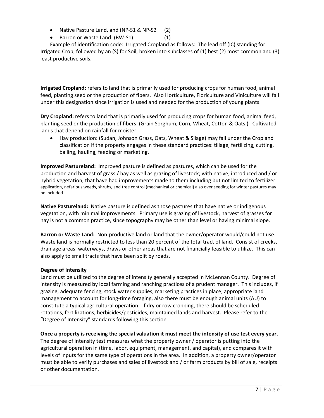- Native Pasture Land, and (NP-S1 & NP-S2 (2)
- Barron or Waste Land. (BW-S1) (1)

Example of identification code: Irrigated Cropland as follows: The lead off (IC) standing for Irrigated Crop, followed by an (S) for Soil, broken into subclasses of (1) best (2) most common and (3) least productive soils.

**Irrigated Cropland:** refers to land that is primarily used for producing crops for human food, animal feed, planting seed or the production of fibers. Also Horticulture, Floriculture and Viniculture will fall under this designation since irrigation is used and needed for the production of young plants.

**Dry Cropland:** refers to land that is primarily used for producing crops for human food, animal feed, planting seed or the production of fibers. (Grain Sorghum, Corn, Wheat, Cotton & Oats.) Cultivated lands that depend on rainfall for moister.

 Hay production: (Sudan, Johnson Grass, Oats, Wheat & Silage) may fall under the Cropland classification if the property engages in these standard practices: tillage, fertilizing, cutting, bailing, hauling, feeding or marketing.

**Improved Pastureland:** Improved pasture is defined as pastures, which can be used for the production and harvest of grass / hay as well as grazing of livestock; with native, introduced and / or hybrid vegetation, that have had improvements made to them including but not limited to fertilizer application, nefarious weeds, shrubs, and tree control (mechanical or chemical) also over seeding for winter pastures may be included.

**Native Pastureland:** Native pasture is defined as those pastures that have native or indigenous vegetation, with minimal improvements. Primary use is grazing of livestock, harvest of grasses for hay is not a common practice, since topography may be other than level or having minimal slope.

**Barron or Waste Lan**d**:** Non‐productive land or land that the owner/operator would/could not use. Waste land is normally restricted to less than 20 percent of the total tract of land. Consist of creeks, drainage areas, waterways, draws or other areas that are not financially feasible to utilize. This can also apply to small tracts that have been split by roads.

# **Degree of Intensity**

Land must be utilized to the degree of intensity generally accepted in McLennan County. Degree of intensity is measured by local farming and ranching practices of a prudent manager. This includes, if grazing, adequate fencing, stock water supplies, marketing practices in place, appropriate land management to account for long-time foraging, also there must be enough animal units (AU) to constitute a typical agricultural operation. If dry or row cropping, there should be scheduled rotations, fertilizations, herbicides/pesticides, maintained lands and harvest. Please refer to the "Degree of Intensity" standards following this section.

Once a property is receiving the special valuation it must meet the intensity of use test every year.

The degree of intensity test measures what the property owner / operator is putting into the agricultural operation in (time, labor, equipment, management, and capital), and compares it with levels of inputs for the same type of operations in the area. In addition, a property owner/operator must be able to verify purchases and sales of livestock and / or farm products by bill of sale, receipts or other documentation.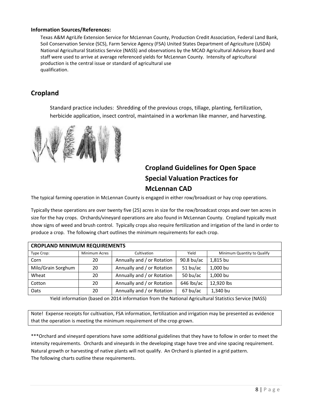#### **Information Sources/References:**

Texas A&M AgriLife Extension Service for McLennan County, Production Credit Association, Federal Land Bank, Soil Conservation Service (SCS), Farm Service Agency (FSA) United States Department of Agriculture (USDA) National Agricultural Statistics Service (NASS) and observations by the MCAD Agricultural Advisory Board and staff were used to arrive at average referenced yields for McLennan County. Intensity of agricultural production is the central issue or standard of agricultural use qualification.

# **Cropland**

Standard practice includes: Shredding of the previous crops, tillage, planting, fertilization, herbicide application, insect control, maintained in a workman like manner, and harvesting.



# **Cropland Guidelines for Open Space Special Valuation Practices for McLennan CAD**

The typical farming operation in McLennan County is engaged in either row/broadcast or hay crop operations.

Typically these operations are over twenty five (25) acres in size for the row/broadcast crops and over ten acres in size for the hay crops. Orchards/vineyard operations are also found in McLennan County. Cropland typically must show signs of weed and brush control. Typically crops also require fertilization and irrigation of the land in order to produce a crop. The following chart outlines the minimum requirements for each crop.

| <b>CROPLAND MINIMUM REQUIREMENTS</b> |                      |                                                        |            |                             |  |
|--------------------------------------|----------------------|--------------------------------------------------------|------------|-----------------------------|--|
| Type Crop:                           | <b>Minimum Acres</b> | Cultivation                                            | Yield      | Minimum Quantity to Qualify |  |
| Corn                                 | 20                   | Annually and / or Rotation<br>$90.8$ bu/ac<br>1,815 bu |            |                             |  |
| Milo/Grain Sorghum                   | 20                   | Annually and / or Rotation                             | $51$ bu/ac | 1,000 bu                    |  |
| Wheat                                | 20                   | Annually and / or Rotation                             | 50 $bu/ac$ | 1,000 bu                    |  |
| Cotton                               | 20                   | Annually and / or Rotation                             | 646 lbs/ac | 12,920 lbs                  |  |
| Oats                                 | 20                   | Annually and / or Rotation                             | 67 bu/ac   | 1,340 bu                    |  |

Yield information (based on 2014 information from the National Agricultural Statistics Service (NASS)

Note! Expense receipts for cultivation, FSA information, fertilization and irrigation may be presented as evidence that the operation is meeting the minimum requirement of the crop grown.

\*\*\*Orchard and vineyard operations have some additional guidelines that they have to follow in order to meet the intensity requirements. Orchards and vineyards in the developing stage have tree and vine spacing requirement. Natural growth or harvesting of native plants will not qualify. An Orchard is planted in a grid pattern. The following charts outline these requirements.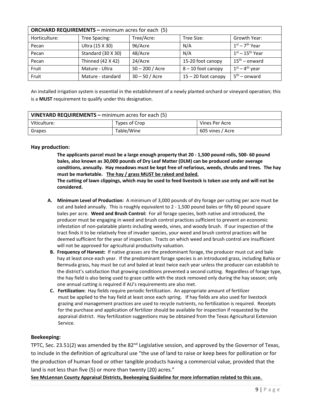| <b>ORCHARD REQUIREMENTS - minimum acres for each (5)</b> |                    |                   |                       |                    |  |
|----------------------------------------------------------|--------------------|-------------------|-----------------------|--------------------|--|
| Horticulture:                                            | Tree Spacing:      | Tree/Acre:        | Tree Size:            | Growth Year:       |  |
| Pecan                                                    | Ultra (15 X 30)    | 96/Acre           | N/A                   | $1st - 7th$ Year   |  |
| Pecan                                                    | Standard (30 X 30) | 48/Acre           | N/A                   | $1st - 15th$ Year  |  |
| Pecan                                                    | Thinned (42 X 42)  | 24/Acre           | 15-20 foot canopy     | $15^{th}$ – onward |  |
| Fruit                                                    | Mature - Ultra     | $50 - 200 /$ Acre | 8-10 foot canopy      | $1st - 4th$ year   |  |
| Fruit                                                    | Mature - standard  | $30 - 50 /$ Acre  | $15 - 20$ foot canopy | $5th$ – onward     |  |

An installed irrigation system is essential in the establishment of a newly planted orchard or vineyard operation; this is a **MUST** requirement to qualify under this designation.

| VINEYARD REQUIREMENTS - minimum acres for each (5) |               |                  |  |  |
|----------------------------------------------------|---------------|------------------|--|--|
| Viticulture:                                       | Types of Crop | Vines Per Acre   |  |  |
| Grapes                                             | Table/Wine    | 605 vines / Acre |  |  |

## **Hay production:**

The applicants parcel must be a large enough property that 20 - 1,500 pound rolls, 500- 60 pound **bales, also known as 30,000 pounds of Dry Leaf Matter (DLM) can be produced under average** conditions, annually. Hay meadows must be kept free of nefarious, weeds, shrubs and trees. The hay **must be marketable. The hay / grass MUST be raked and baled.** 

The cutting of lawn clippings, which may be used to feed livestock is token use only and will not be **considered.**

- **A. Minimum Level of Production:** A minimum of 3,000 pounds of dry forage per cutting per acre must be cut and baled annually. This is roughly equivalent to 2 - 1,500 pound bales or fifty 60 pound square bales per acre. **Weed and Brush Control:** For all forage species, both native and introduced, the producer must be engaging in weed and brush control practices sufficient to prevent an economic infestation of non-palatable plants including weeds, vines, and woody brush. If our inspection of the tract finds it to be relatively free of invader species, your weed and brush control practices will be deemed sufficient for the year of inspection. Tracts on which weed and brush control are insufficient will not be approved for agricultural productivity valuation.
- **B. Frequency of Harvest:** If native grasses are the predominant forage, the producer must cut and bale hay at least once each year. If the predominant forage species is an introduced grass, including Bahia or Bermuda grass, hay must be cut and baled at least twice each year unless the producer can establish to the district's satisfaction that growing conditions prevented a second cutting. Regardless of forage type, the hay field is also being used to graze cattle with the stock removed only during the hay season; only one annual cutting is required if AU's requirements are also met.
- **C. Fertilization:** Hay fields require periodic fertilization. An appropriate amount of fertilizer must be applied to the hay field at least once each spring. If hay fields are also used for livestock grazing and management practices are used to recycle nutrients, no fertilization is required. Receipts for the purchase and application of fertilizer should be available for inspection if requested by the appraisal district. Hay fertilization suggestions may be obtained from the Texas Agricultural Extension Service.

#### **Beekeeping:**

TPTC, Sec. 23.51(2) was amended by the 82<sup>nd</sup> Legislative session, and approved by the Governor of Texas, to include in the definition of agricultural use "the use of land to raise or keep bees for pollination or for the production of human food or other tangible products having a commercial value, provided that the land is not less than five (5) or more than twenty (20) acres."

**See McLennan County Appraisal Districts, Beekeeping Guideline for more information related to this use.**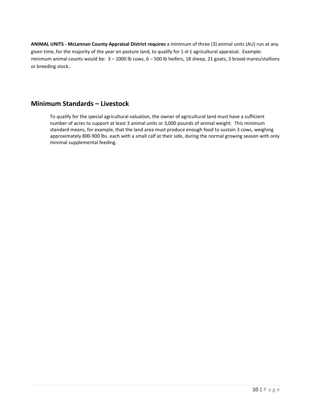**ANIMAL UNITS ‐ McLennan County Appraisal District requires** a minimum of three (3) animal units (AU) run at any given time, for the majority of the year on pasture land, to qualify for 1‐d‐1 agricultural appraisal. Example: minimum animal counts would be: 3 – 1000 lb cows, 6 – 500 lb heifers, 18 sheep, 21 goats, 3 brood‐mares/stallions or breeding stock..

# **Minimum Standards – Livestock**

To qualify for the special agricultural valuation, the owner of agricultural land must have a sufficient number of acres to support at least 3 animal units or 3,000 pounds of animal weight. This minimum standard means, for example, that the land area must produce enough food to sustain 3 cows, weighing approximately 800‐900 lbs. each with a small calf at their side, during the normal growing season with only minimal supplemental feeding.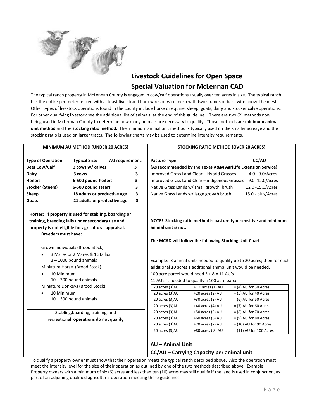

# **Livestock Guidelines for Open Space Special Valuation for McLennan CAD**

The typical ranch property in McLennan County is engaged in cow/calf operations usually over ten acres in size. The typical ranch has the entire perimeter fenced with at least five strand barb wires or wire mesh with two strands of barb wire above the mesh. Other types of livestock operations found in the county include horse or equine, sheep, goats, dairy and stocker calve operations. For other qualifying livestock see the additional list of animals, at the end of this guideline.. There are two (2) methods now being used in McLennan County to determine how many animals are necessary to qualify. Those methods are **minimum animal unit method** and the **stocking ratio method.** The minimum animal unit method is typically used on the smaller acreage and the stocking ratio is used on larger tracts. The following charts may be used to determine intensity requirements.

| MINIMUM AU METHOD (UNDER 20 ACRES)                |                                                                                                           | STOCKING RATIO METHOD (OVER 20 ACRES)        |                                                |                                                               |                                                                         |
|---------------------------------------------------|-----------------------------------------------------------------------------------------------------------|----------------------------------------------|------------------------------------------------|---------------------------------------------------------------|-------------------------------------------------------------------------|
| <b>Type of Operation:</b><br><b>Beef Cow/Calf</b> | <b>Typical Size:</b><br>3 cows w/ calves                                                                  | AU requirement:<br>3                         | <b>Pasture Type:</b>                           |                                                               | CC/AU<br>(As recommended by the Texas A&M AgriLife Extension Service)   |
|                                                   |                                                                                                           |                                              |                                                |                                                               |                                                                         |
| <b>Dairy</b>                                      | 3 cows                                                                                                    | 3                                            |                                                | Improved Grass Land Clear - Hybrid Grasses                    | 4.0 - 9.0/Acres                                                         |
| <b>Heifers</b>                                    | 6-500 pound heifers                                                                                       | 3                                            |                                                | Improved Grass Land Clear - indigenous Grasses                | 9.0 -12.0/Acres                                                         |
| <b>Stocker (Steers)</b>                           | 6-500 pound steers                                                                                        | 3                                            |                                                | Native Grass Lands w/ small growth brush                      | 12.0 -15.0/Acres                                                        |
| Sheep                                             | 18 adults or productive age                                                                               | 3                                            |                                                | Native Grass Lands w/ large growth brush                      | 15.0 - plus/Acres                                                       |
| Goats                                             | 21 adults or productive age                                                                               | 3                                            |                                                |                                                               |                                                                         |
|                                                   | Horses: If property is used for stabling, boarding or<br>training, breeding falls under secondary use and |                                              |                                                |                                                               | NOTE! Stocking ratio method is pasture type sensitive and minimum       |
|                                                   | property is not eligible for agricultural appraisal.                                                      |                                              | animal unit is not.                            |                                                               |                                                                         |
| <b>Breeders must have:</b>                        |                                                                                                           |                                              |                                                |                                                               |                                                                         |
|                                                   |                                                                                                           |                                              |                                                | The MCAD will follow the following Stocking Unit Chart        |                                                                         |
|                                                   | Grown Individuals (Brood Stock)                                                                           |                                              |                                                |                                                               |                                                                         |
|                                                   | 3 Mares or 2 Mares & 1 Stallion                                                                           |                                              |                                                |                                                               |                                                                         |
|                                                   | $3 - 1000$ pound animals                                                                                  |                                              |                                                |                                                               | Example: 3 animal units needed to qualify up to 20 acres; then for each |
|                                                   | Miniature Horse (Brood Stock)                                                                             |                                              |                                                | additional 10 acres 1 additional animal unit would be needed. |                                                                         |
| 10 Minimum<br>$\bullet$                           |                                                                                                           | 100 acre parcel would need $3 + 8 = 11$ AU's |                                                |                                                               |                                                                         |
| $10 - 300$ pound animals                          |                                                                                                           |                                              | 11 AU's is needed to qualify a 100 acre parcel |                                                               |                                                                         |
|                                                   | Miniature Donkeys (Brood Stock)                                                                           |                                              | 20 acres (3)AU                                 | + 10 acres (1) AU                                             | $= (4)$ AU for 30 Acres                                                 |
| 10 Minimum<br>$\bullet$                           |                                                                                                           |                                              | 20 acres (3)AU                                 | $+20$ acres (2) AU                                            | $= (5)$ AU for 40 Acres                                                 |
|                                                   | $10 - 300$ pound animals                                                                                  |                                              | 20 acres (3)AU                                 | +30 acres (3) AU                                              | $=$ (6) AU for 50 Acres                                                 |
|                                                   |                                                                                                           |                                              | 20 acres (3)AU                                 | +40 acres (4) AU                                              | $=$ (7) AU for 60 Acres                                                 |
|                                                   | Stabling, boarding, training, and                                                                         |                                              | 20 acres (3)AU                                 | +50 acres (5) AU                                              | $= (8)$ AU for 70 Acres                                                 |
|                                                   | recreational operations do not qualify                                                                    |                                              | 20 acres (3)AU                                 | +60 acres (6) AU                                              | $= (9)$ AU for 80 Acres                                                 |
|                                                   |                                                                                                           |                                              | 20 acres (3)AU                                 | +70 acres (7) AU                                              | $= (10)$ AU for 90 Acres                                                |
|                                                   |                                                                                                           |                                              | 20 acres (3)AU                                 | +80 acres (8) AU                                              | $=$ (11) AU for 100 Acres                                               |
|                                                   |                                                                                                           |                                              | AU - Animal Unit                               | CC/AU - Carrying Capacity per animal unit                     |                                                                         |

To qualify a property owner must show that their operation meets the typical ranch described above. Also the operation must meet the intensity level for the size of their operation as outlined by one of the two methods described above. Example: Property owners with a minimum of six (6) acres and less than ten (10) acres may still qualify if the land is used in conjunction, as part of an adjoining qualified agricultural operation meeting these guidelines.